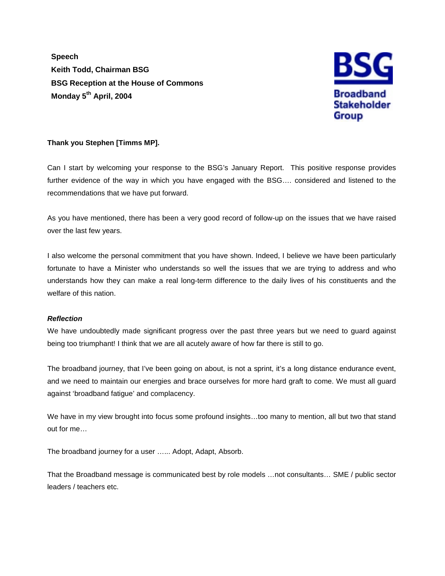**Speech Keith Todd, Chairman BSG BSG Reception at the House of Commons Monday 5th April, 2004**



# **Thank you Stephen [Timms MP].**

Can I start by welcoming your response to the BSG's January Report. This positive response provides further evidence of the way in which you have engaged with the BSG…. considered and listened to the recommendations that we have put forward.

As you have mentioned, there has been a very good record of follow-up on the issues that we have raised over the last few years.

I also welcome the personal commitment that you have shown. Indeed, I believe we have been particularly fortunate to have a Minister who understands so well the issues that we are trying to address and who understands how they can make a real long-term difference to the daily lives of his constituents and the welfare of this nation.

### *Reflection*

We have undoubtedly made significant progress over the past three years but we need to guard against being too triumphant! I think that we are all acutely aware of how far there is still to go.

The broadband journey, that I've been going on about, is not a sprint, it's a long distance endurance event, and we need to maintain our energies and brace ourselves for more hard graft to come. We must all guard against 'broadband fatigue' and complacency.

We have in my view brought into focus some profound insights…too many to mention, all but two that stand out for me…

The broadband journey for a user …... Adopt, Adapt, Absorb.

That the Broadband message is communicated best by role models …not consultants… SME / public sector leaders / teachers etc.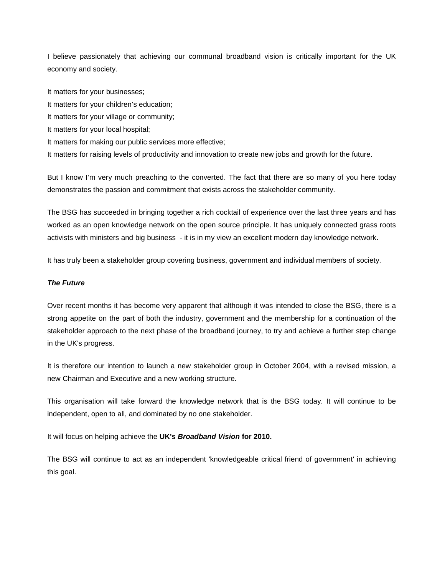I believe passionately that achieving our communal broadband vision is critically important for the UK economy and society.

It matters for your businesses; It matters for your children's education; It matters for your village or community; It matters for your local hospital; It matters for making our public services more effective; It matters for raising levels of productivity and innovation to create new jobs and growth for the future.

But I know I'm very much preaching to the converted. The fact that there are so many of you here today demonstrates the passion and commitment that exists across the stakeholder community.

The BSG has succeeded in bringing together a rich cocktail of experience over the last three years and has worked as an open knowledge network on the open source principle. It has uniquely connected grass roots activists with ministers and big business - it is in my view an excellent modern day knowledge network.

It has truly been a stakeholder group covering business, government and individual members of society.

# *The Future*

Over recent months it has become very apparent that although it was intended to close the BSG, there is a strong appetite on the part of both the industry, government and the membership for a continuation of the stakeholder approach to the next phase of the broadband journey, to try and achieve a further step change in the UK's progress.

It is therefore our intention to launch a new stakeholder group in October 2004, with a revised mission, a new Chairman and Executive and a new working structure.

This organisation will take forward the knowledge network that is the BSG today. It will continue to be independent, open to all, and dominated by no one stakeholder.

It will focus on helping achieve the **UK's** *Broadband Vision* **for 2010.**

The BSG will continue to act as an independent 'knowledgeable critical friend of government' in achieving this goal.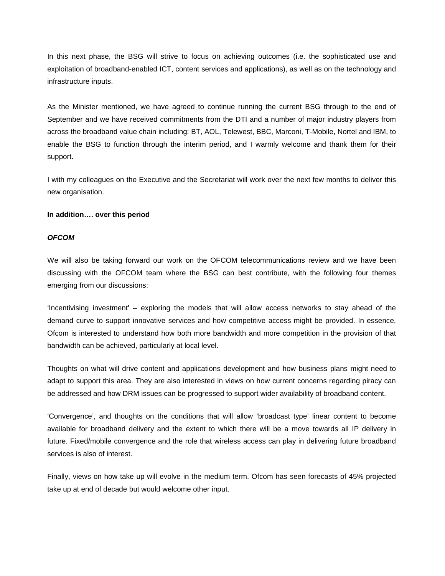In this next phase, the BSG will strive to focus on achieving outcomes (i.e. the sophisticated use and exploitation of broadband-enabled ICT, content services and applications), as well as on the technology and infrastructure inputs.

As the Minister mentioned, we have agreed to continue running the current BSG through to the end of September and we have received commitments from the DTI and a number of major industry players from across the broadband value chain including: BT, AOL, Telewest, BBC, Marconi, T-Mobile, Nortel and IBM, to enable the BSG to function through the interim period, and I warmly welcome and thank them for their support.

I with my colleagues on the Executive and the Secretariat will work over the next few months to deliver this new organisation.

### **In addition…. over this period**

#### *OFCOM*

We will also be taking forward our work on the OFCOM telecommunications review and we have been discussing with the OFCOM team where the BSG can best contribute, with the following four themes emerging from our discussions:

'Incentivising investment' – exploring the models that will allow access networks to stay ahead of the demand curve to support innovative services and how competitive access might be provided. In essence, Ofcom is interested to understand how both more bandwidth and more competition in the provision of that bandwidth can be achieved, particularly at local level.

Thoughts on what will drive content and applications development and how business plans might need to adapt to support this area. They are also interested in views on how current concerns regarding piracy can be addressed and how DRM issues can be progressed to support wider availability of broadband content.

'Convergence', and thoughts on the conditions that will allow 'broadcast type' linear content to become available for broadband delivery and the extent to which there will be a move towards all IP delivery in future. Fixed/mobile convergence and the role that wireless access can play in delivering future broadband services is also of interest.

Finally, views on how take up will evolve in the medium term. Ofcom has seen forecasts of 45% projected take up at end of decade but would welcome other input.